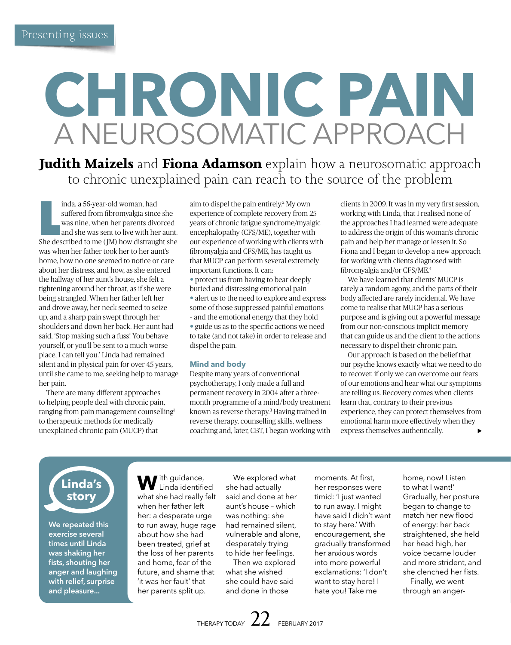# **CHRONIC PAIN** A NEUROSOMATIC APPROACH

**Judith Maizels** and **Fiona Adamson** explain how a neurosomatic approach to chronic unexplained pain can reach to the source of the problem

inda, a 56-year-old woman, had<br>suffered from fibromyalgia since she<br>was nine, when her parents divorced<br>and she was sent to live with her aunt.<br>She described to me (JM) how distraught she inda, a 56-year-old woman, had suffered from fibromyalgia since she was nine, when her parents divorced and she was sent to live with her aunt. was when her father took her to her aunt's home, how no one seemed to notice or care about her distress, and how, as she entered the hallway of her aunt's house, she felt a tightening around her throat, as if she were being strangled. When her father left her and drove away, her neck seemed to seize up, and a sharp pain swept through her shoulders and down her back. Her aunt had said, 'Stop making such a fuss! You behave yourself, or you'll be sent to a much worse place, I can tell you.' Linda had remained silent and in physical pain for over 45 years, until she came to me, seeking help to manage her pain.

There are many different approaches to helping people deal with chronic pain, ranging from pain management counselling1 to therapeutic methods for medically unexplained chronic pain (MUCP) that

aim to dispel the pain entirely.2 My own experience of complete recovery from 25 years of chronic fatigue syndrome/myalgic encephalopathy (CFS/ME), together with our experience of working with clients with fibromyalgia and CFS/ME, has taught us that MUCP can perform several extremely important functions. It can:

• protect us from having to bear deeply buried and distressing emotional pain • alert us to the need to explore and express some of those suppressed painful emotions – and the emotional energy that they hold • guide us as to the specific actions we need to take (and not take) in order to release and dispel the pain.

# **Mind and body**

Despite many years of conventional psychotherapy, I only made a full and permanent recovery in 2004 after a threemonth programme of a mind/body treatment known as reverse therapy.3 Having trained in reverse therapy, counselling skills, wellness coaching and, later, CBT, I began working with clients in 2009. It was in my very first session, working with Linda, that I realised none of the approaches I had learned were adequate to address the origin of this woman's chronic pain and help her manage or lessen it. So Fiona and I began to develop a new approach for working with clients diagnosed with fibromyalgia and/or CFS/ME.4

We have learned that clients' MUCP is rarely a random agony, and the parts of their body affected are rarely incidental. We have come to realise that MUCP has a serious purpose and is giving out a powerful message from our non-conscious implicit memory that can guide us and the client to the actions necessary to dispel their chronic pain.

Our approach is based on the belief that our psyche knows exactly what we need to do to recover, if only we can overcome our fears of our emotions and hear what our symptoms are telling us. Recovery comes when clients learn that, contrary to their previous experience, they can protect themselves from emotional harm more effectively when they express themselves authentically.

**Linda's story**

**We repeated this exercise several times until Linda was shaking her fists, shouting her anger and laughing with relief, surprise and pleasure...**

**W**ith guidance, Linda identified what she had really felt when her father left her: a desperate urge to run away, huge rage about how she had been treated, grief at the loss of her parents and home, fear of the future, and shame that 'it was her fault' that her parents split up.

We explored what she had actually said and done at her aunt's house – which was nothing: she had remained silent, vulnerable and alone, desperately trying to hide her feelings.

Then we explored what she wished she could have said and done in those

moments. At first, her responses were timid: 'I just wanted to run away. I might have said I didn't want to stay here.' With encouragement, she gradually transformed her anxious words into more powerful exclamations: 'I don't want to stay here! I hate you! Take me

home, now! Listen to what I want!' Gradually, her posture began to change to match her new flood of energy: her back straightened, she held her head high, her voice became louder and more strident, and she clenched her fists.

Finally, we went through an anger-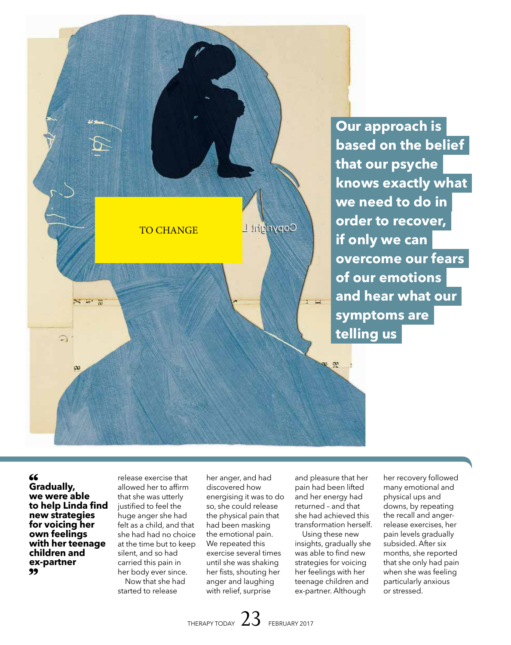

**Our approach is based on the belief that our psyche knows exactly what we need to do in order to recover, if only we can overcome our fears of our emotions and hear what our symptoms are telling us**

# 66

**Gradually, we were able to help Linda find new strategies for voicing her own feelings with her teenage children and ex-partner**

release exercise that allowed her to affirm that she was utterly justified to feel the huge anger she had felt as a child, and that she had had no choice at the time but to keep silent, and so had carried this pain in her body ever since. Now that she had started to release

her anger, and had discovered how energising it was to do so, she could release the physical pain that had been masking the emotional pain. We repeated this exercise several times until she was shaking her fists, shouting her anger and laughing with relief, surprise

and pleasure that her pain had been lifted and her energy had returned – and that she had achieved this transformation herself.

Using these new insights, gradually she was able to find new strategies for voicing her feelings with her teenage children and ex-partner. Although

her recovery followed many emotional and physical ups and downs, by repeating the recall and angerrelease exercises, her pain levels gradually subsided. After six months, she reported that she only had pain when she was feeling particularly anxious or stressed.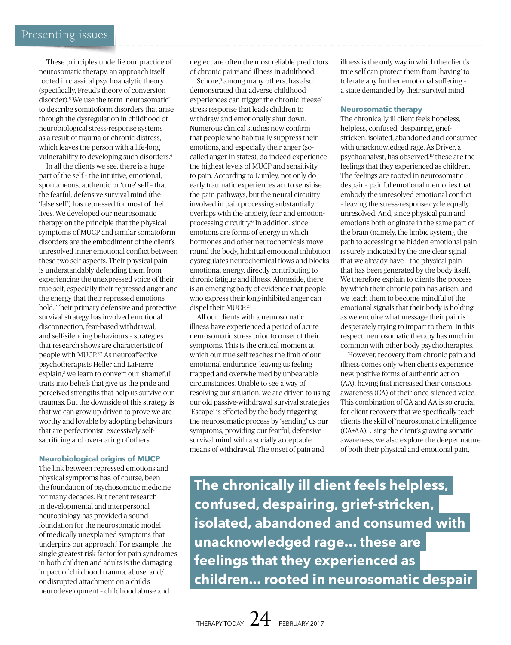These principles underlie our practice of neurosomatic therapy, an approach itself rooted in classical psychoanalytic theory (specifically, Freud's theory of conversion disorder).5 We use the term 'neurosomatic' to describe somatoform disorders that arise through the dysregulation in childhood of neurobiological stress-response systems as a result of trauma or chronic distress, which leaves the person with a life-long vulnerability to developing such disorders.4

In all the clients we see, there is a huge part of the self – the intuitive, emotional, spontaneous, authentic or 'true' self – that the fearful, defensive survival mind (the 'false self') has repressed for most of their lives. We developed our neurosomatic therapy on the principle that the physical symptoms of MUCP and similar somatoform disorders are the embodiment of the client's unresolved inner emotional conflict between these two self-aspects. Their physical pain is understandably defending them from experiencing the unexpressed voice of their true self, especially their repressed anger and the energy that their repressed emotions hold. Their primary defensive and protective survival strategy has involved emotional disconnection, fear-based withdrawal, and self-silencing behaviours – strategies that research shows are characteristic of people with MUCP.6,7 As neuroaffective psychotherapists Heller and LaPierre explain,<sup>8</sup> we learn to convert our 'shameful' traits into beliefs that give us the pride and perceived strengths that help us survive our traumas. But the downside of this strategy is that we can grow up driven to prove we are worthy and lovable by adopting behaviours that are perfectionist, excessively selfsacrificing and over-caring of others.

# **Neurobiological origins of MUCP**

The link between repressed emotions and physical symptoms has, of course, been the foundation of psychosomatic medicine for many decades. But recent research in developmental and interpersonal neurobiology has provided a sound foundation for the neurosomatic model of medically unexplained symptoms that underpins our approach.4 For example, the single greatest risk factor for pain syndromes in both children and adults is the damaging impact of childhood trauma, abuse, and/ or disrupted attachment on a child's neurodevelopment – childhood abuse and

neglect are often the most reliable predictors of chronic pain<sup>6</sup> and illness in adulthood.

Schore,9 among many others, has also demonstrated that adverse childhood experiences can trigger the chronic 'freeze' stress response that leads children to withdraw and emotionally shut down. Numerous clinical studies now confirm that people who habitually suppress their emotions, and especially their anger (socalled anger-in states), do indeed experience the highest levels of MUCP and sensitivity to pain. According to Lumley, not only do early traumatic experiences act to sensitise the pain pathways, but the neural circuitry involved in pain processing substantially overlaps with the anxiety, fear and emotionprocessing circuitry.6 In addition, since emotions are forms of energy in which hormones and other neurochemicals move round the body, habitual emotional inhibition dysregulates neurochemical flows and blocks emotional energy, directly contributing to chronic fatigue and illness. Alongside, there is an emerging body of evidence that people who express their long-inhibited anger can dispel their MUCP.<sup>2,4</sup>

All our clients with a neurosomatic illness have experienced a period of acute neurosomatic stress prior to onset of their symptoms. This is the critical moment at which our true self reaches the limit of our emotional endurance, leaving us feeling trapped and overwhelmed by unbearable circumstances. Unable to see a way of resolving our situation, we are driven to using our old passive-withdrawal survival strategies. 'Escape' is effected by the body triggering the neurosomatic process by 'sending' us our symptoms, providing our fearful, defensive survival mind with a socially acceptable means of withdrawal. The onset of pain and

illness is the only way in which the client's true self can protect them from 'having' to tolerate any further emotional suffering – a state demanded by their survival mind.

#### **Neurosomatic therapy**

The chronically ill client feels hopeless, helpless, confused, despairing, griefstricken, isolated, abandoned and consumed with unacknowledged rage. As Driver, a psychoanalyst, has observed,10 these are the feelings that they experienced as children. The feelings are rooted in neurosomatic despair – painful emotional memories that embody the unresolved emotional conflict – leaving the stress-response cycle equally unresolved. And, since physical pain and emotions both originate in the same part of the brain (namely, the limbic system), the path to accessing the hidden emotional pain is surely indicated by the one clear signal that we already have – the physical pain that has been generated by the body itself. We therefore explain to clients the process by which their chronic pain has arisen, and we teach them to become mindful of the emotional signals that their body is holding as we enquire what message their pain is desperately trying to impart to them. In this respect, neurosomatic therapy has much in common with other body psychotherapies.

However, recovery from chronic pain and illness comes only when clients experience new, positive forms of authentic action (AA), having first increased their conscious awareness (CA) of their once-silenced voice. This combination of CA and AA is so crucial for client recovery that we specifically teach clients the skill of 'neurosomatic intelligence' (CA+AA). Using the client's growing somatic awareness, we also explore the deeper nature of both their physical and emotional pain,

**The chronically ill client feels helpless, confused, despairing, grief-stricken, isolated, abandoned and consumed with unacknowledged rage... these are feelings that they experienced as children... rooted in neurosomatic despair**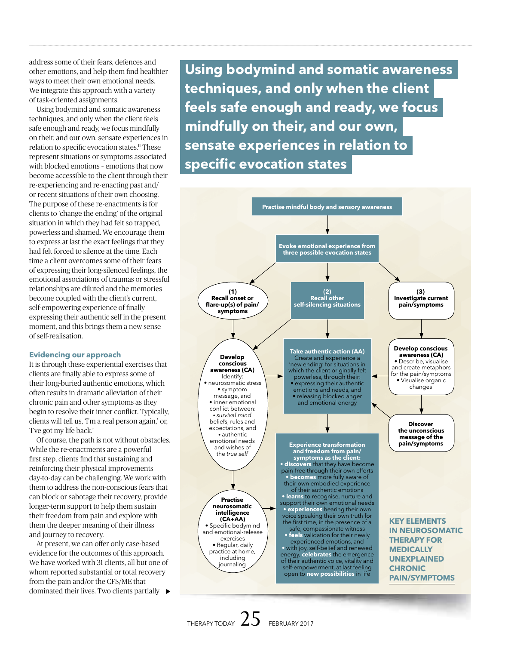address some of their fears, defences and other emotions, and help them find healthier ways to meet their own emotional needs. We integrate this approach with a variety of task-oriented assignments.

Using bodymind and somatic awareness techniques, and only when the client feels safe enough and ready, we focus mindfully on their, and our own, sensate experiences in relation to specific evocation states.<sup>11</sup> These represent situations or symptoms associated with blocked emotions – emotions that now become accessible to the client through their re-experiencing and re-enacting past and/ or recent situations of their own choosing. The purpose of these re-enactments is for clients to 'change the ending' of the original situation in which they had felt so trapped, powerless and shamed. We encourage them to express at last the exact feelings that they had felt forced to silence at the time. Each time a client overcomes some of their fears of expressing their long-silenced feelings, the emotional associations of traumas or stressful relationships are diluted and the memories become coupled with the client's current, self-empowering experience of finally expressing their authentic self in the present moment, and this brings them a new sense of self-realisation.

# **Evidencing our approach**

It is through these experiential exercises that clients are finally able to express some of their long-buried authentic emotions, which often results in dramatic alleviation of their chronic pain and other symptoms as they begin to resolve their inner conflict. Typically, clients will tell us, 'I'm a real person again,' or, 'I've got my life back.'

Of course, the path is not without obstacles. While the re-enactments are a powerful first step, clients find that sustaining and reinforcing their physical improvements day-to-day can be challenging. We work with them to address the non-conscious fears that can block or sabotage their recovery, provide longer-term support to help them sustain their freedom from pain and explore with them the deeper meaning of their illness and journey to recovery.

At present, we can offer only case-based evidence for the outcomes of this approach. We have worked with 31 clients, all but one of whom reported substantial or total recovery from the pain and/or the CFS/ME that dominated their lives. Two clients partially

**Using bodymind and somatic awareness techniques, and only when the client feels safe enough and ready, we focus mindfully on their, and our own, sensate experiences in relation to specific evocation states**